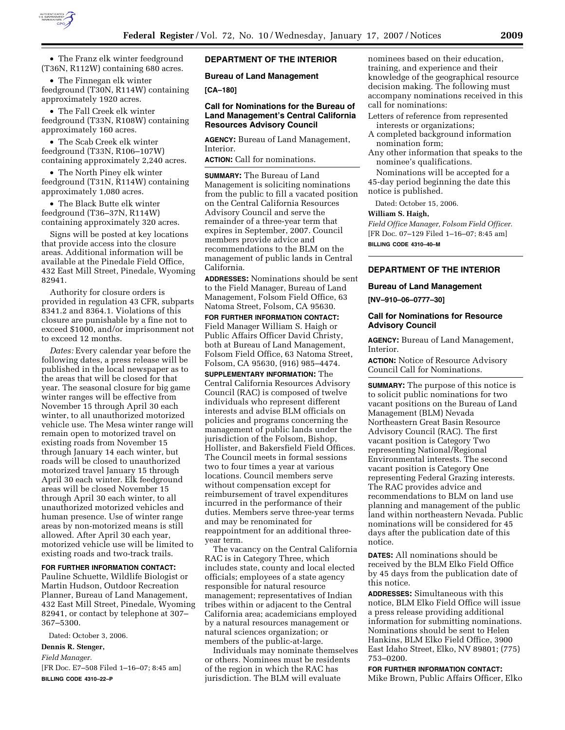

• The Franz elk winter feedground (T36N, R112W) containing 680 acres.

• The Finnegan elk winter feedground (T30N, R114W) containing approximately 1920 acres.

• The Fall Creek elk winter feedground (T33N, R108W) containing approximately 160 acres.

• The Scab Creek elk winter feedground (T33N, R106–107W) containing approximately 2,240 acres.

• The North Piney elk winter feedground (T31N, R114W) containing approximately 1,080 acres.

• The Black Butte elk winter feedground (T36–37N, R114W) containing approximately 320 acres.

Signs will be posted at key locations that provide access into the closure areas. Additional information will be available at the Pinedale Field Office, 432 East Mill Street, Pinedale, Wyoming 82941.

Authority for closure orders is provided in regulation 43 CFR, subparts 8341.2 and 8364.1. Violations of this closure are punishable by a fine not to exceed \$1000, and/or imprisonment not to exceed 12 months.

*Dates:* Every calendar year before the following dates, a press release will be published in the local newspaper as to the areas that will be closed for that year. The seasonal closure for big game winter ranges will be effective from November 15 through April 30 each winter, to all unauthorized motorized vehicle use. The Mesa winter range will remain open to motorized travel on existing roads from November 15 through January 14 each winter, but roads will be closed to unauthorized motorized travel January 15 through April 30 each winter. Elk feedground areas will be closed November 15 through April 30 each winter, to all unauthorized motorized vehicles and human presence. Use of winter range areas by non-motorized means is still allowed. After April 30 each year, motorized vehicle use will be limited to existing roads and two-track trails.

#### **FOR FURTHER INFORMATION CONTACT:**

Pauline Schuette, Wildlife Biologist or Martin Hudson, Outdoor Recreation Planner, Bureau of Land Management, 432 East Mill Street, Pinedale, Wyoming 82941, or contact by telephone at 307– 367–5300.

Dated: October 3, 2006.

## **Dennis R. Stenger,**

*Field Manager.* 

[FR Doc. E7–508 Filed 1–16–07; 8:45 am] **BILLING CODE 4310–22–P** 

## **DEPARTMENT OF THE INTERIOR**

**Bureau of Land Management** 

#### **[CA–180]**

#### **Call for Nominations for the Bureau of Land Management's Central California Resources Advisory Council**

**AGENCY:** Bureau of Land Management, Interior.

**ACTION:** Call for nominations.

**SUMMARY:** The Bureau of Land Management is soliciting nominations from the public to fill a vacated position on the Central California Resources Advisory Council and serve the remainder of a three-year term that expires in September, 2007. Council members provide advice and recommendations to the BLM on the management of public lands in Central California.

**ADDRESSES:** Nominations should be sent to the Field Manager, Bureau of Land Management, Folsom Field Office, 63 Natoma Street, Folsom, CA 95630.

**FOR FURTHER INFORMATION CONTACT:**  Field Manager William S. Haigh or Public Affairs Officer David Christy, both at Bureau of Land Management, Folsom Field Office, 63 Natoma Street, Folsom, CA 95630, (916) 985–4474.

**SUPPLEMENTARY INFORMATION:** The Central California Resources Advisory Council (RAC) is composed of twelve individuals who represent different interests and advise BLM officials on policies and programs concerning the management of public lands under the jurisdiction of the Folsom, Bishop, Hollister, and Bakersfield Field Offices. The Council meets in formal sessions two to four times a year at various locations. Council members serve without compensation except for reimbursement of travel expenditures incurred in the performance of their duties. Members serve three-year terms and may be renominated for reappointment for an additional threeyear term.

The vacancy on the Central California RAC is in Category Three, which includes state, county and local elected officials; employees of a state agency responsible for natural resource management; representatives of Indian tribes within or adjacent to the Central California area; academicians employed by a natural resources management or natural sciences organization; or members of the public-at-large.

Individuals may nominate themselves or others. Nominees must be residents of the region in which the RAC has jurisdiction. The BLM will evaluate

nominees based on their education, training, and experience and their knowledge of the geographical resource decision making. The following must accompany nominations received in this call for nominations:

- Letters of reference from represented interests or organizations;
- A completed background information nomination form;
- Any other information that speaks to the nominee's qualifications.

Nominations will be accepted for a 45-day period beginning the date this notice is published.

Dated: October 15, 2006.

#### **William S. Haigh,**

*Field Office Manager, Folsom Field Officer.*  [FR Doc. 07–129 Filed 1–16–07; 8:45 am] **BILLING CODE 4310–40–M** 

## **DEPARTMENT OF THE INTERIOR**

#### **Bureau of Land Management**

**[NV–910–06–0777–30]** 

#### **Call for Nominations for Resource Advisory Council**

**AGENCY:** Bureau of Land Management, Interior.

**ACTION:** Notice of Resource Advisory Council Call for Nominations.

**SUMMARY:** The purpose of this notice is to solicit public nominations for two vacant positions on the Bureau of Land Management (BLM) Nevada Northeastern Great Basin Resource Advisory Council (RAC). The first vacant position is Category Two representing National/Regional Environmental interests. The second vacant position is Category One representing Federal Grazing interests. The RAC provides advice and recommendations to BLM on land use planning and management of the public land within northeastern Nevada. Public nominations will be considered for 45 days after the publication date of this notice.

**DATES:** All nominations should be received by the BLM Elko Field Office by 45 days from the publication date of this notice.

**ADDRESSES:** Simultaneous with this notice, BLM Elko Field Office will issue a press release providing additional information for submitting nominations. Nominations should be sent to Helen Hankins, BLM Elko Field Office, 3900 East Idaho Street, Elko, NV 89801; (775) 753–0200.

**FOR FURTHER INFORMATION CONTACT:**  Mike Brown, Public Affairs Officer, Elko